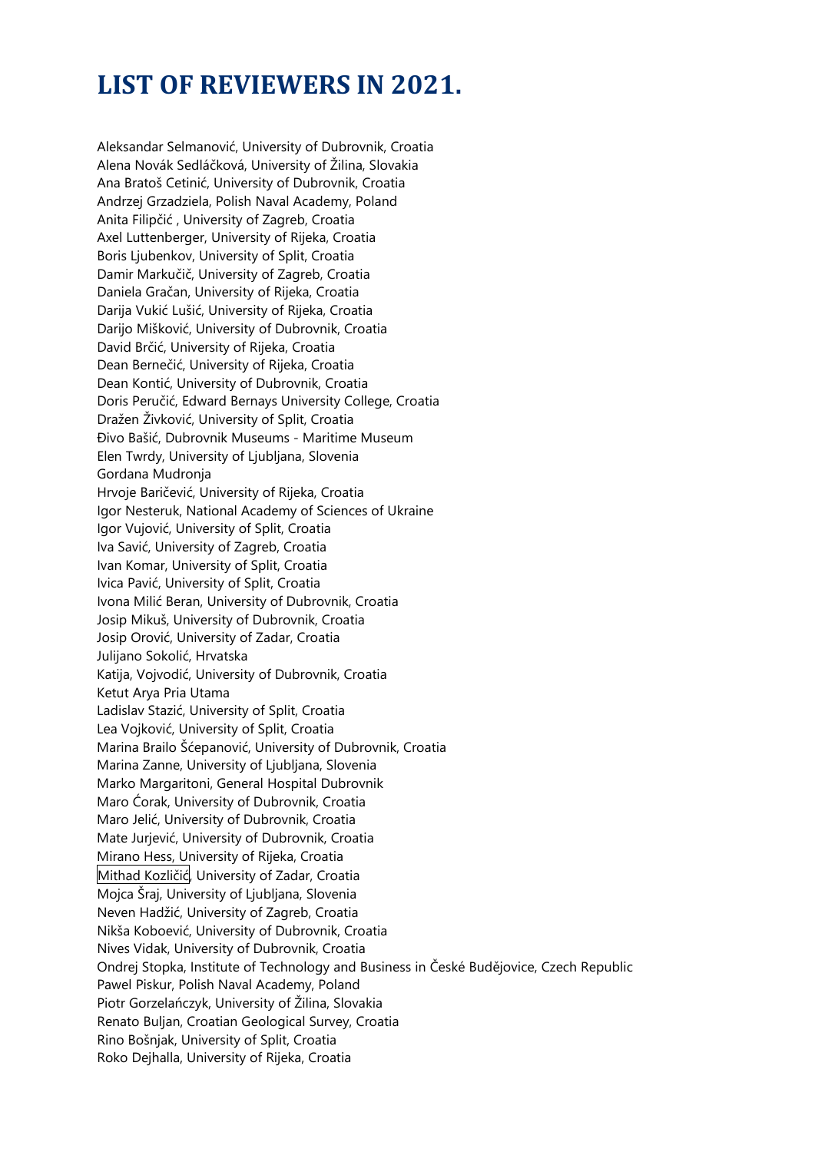## **LIST OF REVIEWERS IN 2021.**

Aleksandar Selmanović, University of Dubrovnik, Croatia Alena Novák Sedláčková, University of Žilina, Slovakia Ana Bratoš Cetinić, University of Dubrovnik, Croatia Andrzej Grzadziela, Polish Naval Academy, Poland Anita Filipčić , University of Zagreb, Croatia Axel Luttenberger, University of Rijeka, Croatia Boris Ljubenkov, University of Split, Croatia Damir Markučič, University of Zagreb, Croatia Daniela Gračan, University of Rijeka, Croatia Darija Vukić Lušić, University of Rijeka, Croatia Darijo Mišković, University of Dubrovnik, Croatia David Brčić, University of Rijeka, Croatia Dean Bernečić, University of Rijeka, Croatia Dean Kontić, University of Dubrovnik, Croatia Doris Peručić, Edward Bernays University College, Croatia Dražen Živković, University of Split, Croatia Đivo Bašić, Dubrovnik Museums - Maritime Museum Elen Twrdy, University of Ljubljana, Slovenia Gordana Mudronja Hrvoje Baričević, University of Rijeka, Croatia Igor Nesteruk, National Academy of Sciences of Ukraine Igor Vujović, University of Split, Croatia Iva Savić, University of Zagreb, Croatia Ivan Komar, University of Split, Croatia Ivica Pavić, University of Split, Croatia Ivona Milić Beran, University of Dubrovnik, Croatia Josip Mikuš, University of Dubrovnik, Croatia Josip Orović, University of Zadar, Croatia Julijano Sokolić, Hrvatska Katija, Vojvodić, University of Dubrovnik, Croatia Ketut Arya Pria Utama Ladislav Stazić, University of Split, Croatia Lea Vojković, University of Split, Croatia Marina Brailo Šćepanović, University of Dubrovnik, Croatia Marina Zanne, University of Ljubljana, Slovenia Marko Margaritoni, General Hospital Dubrovnik Maro Ćorak, University of Dubrovnik, Croatia Maro Jelić, University of Dubrovnik, Croatia Mate Jurjević, University of Dubrovnik, Croatia Mirano Hess, University of Rijeka, Croatia Mithad Kozličić, University of Zadar, Croatia Mojca Šraj, University of Ljubljana, Slovenia Neven Hadžić, University of Zagreb, Croatia Nikša Koboević, University of Dubrovnik, Croatia Nives Vidak, University of Dubrovnik, Croatia Ondrej Stopka, Institute of Technology and Business in České Budějovice, Czech Republic Pawel Piskur, Polish Naval Academy, Poland Piotr Gorzelańczyk, University of Žilina, Slovakia Renato Buljan, Croatian Geological Survey, Croatia Rino Bošnjak, University of Split, Croatia Roko Dejhalla, University of Rijeka, Croatia